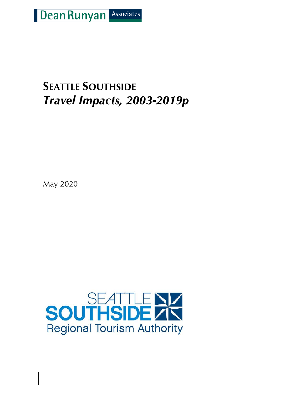## **SEATTLE SOUTHSIDE** *Travel Impacts, 2003-2019p*

May 2020

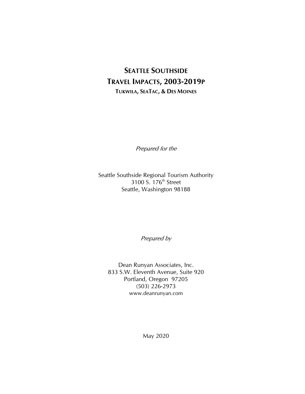## **SEATTLE SOUTHSIDE TRAVEL IMPACTS, 2003-2019P TUKWILA, SEATAC, & DES MOINES**

Prepared for the

Seattle Southside Regional Tourism Authority 3100 S. 176<sup>th</sup> Street Seattle, Washington 98188

Prepared by

Dean Runyan Associates, Inc. 833 S.W. Eleventh Avenue, Suite 920 Portland, Oregon 97205 (503) 226-2973 www.deanrunyan.com

May 2020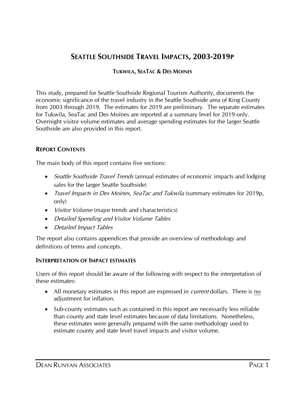### **SEATTLE SOUTHSIDE TRAVEL IMPACTS, 2003-2019P**

#### **TUKWILA, SEATAC & DES MOINES**

This study, prepared for Seattle Southside Regional Tourism Authority, documents the economic significance of the travel industry in the Seattle Southside area of King County from 2003 through 2019. The estimates for 2019 are preliminary. The separate estimates for Tukwila, SeaTac and Des Moines are reported at a summary level for 2019 only. Overnight visitor volume estimates and average spending estimates for the larger Seattle Southside are also provided in this report.

#### **REPORT CONTENTS**

The main body of this report contains five sections:

- *Seattle Southside Travel Trends* (annual estimates of economic impacts and lodging sales for the larger Seattle Southside)
- *Travel Impacts in Des Moines, SeaTac and Tukwila* (summary estimates for 2019p, only)
- *Visitor Volume* (major trends and characteristics)
- Detailed Spending and Visitor Volume Tables
- Detailed Impact Tables

The report also contains appendices that provide an overview of methodology and definitions of terms and concepts.

#### **INTERPRETATION OF IMPACT ESTIMATES**

Users of this report should be aware of the following with respect to the interpretation of these estimates:

- All monetary estimates in this report are expressed in *current* dollars. There is no adiustment for inflation.
- Sub-county estimates such as contained in this report are necessarily less reliable than county and state level estimates because of data limitations. Nonetheless, these estimates were generally prepared with the same methodology used to estimate county and state level travel impacts and visitor volume.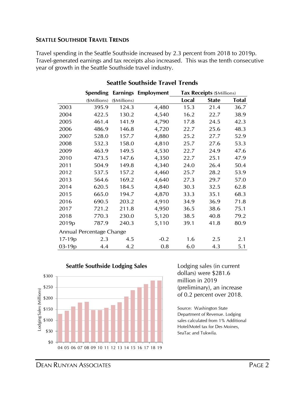#### **SEATTLE SOUTHSIDE TRAVEL TRENDS**

Travel spending in the Seattle Southside increased by 2.3 percent from 2018 to 2019p. Travel-generated earnings and tax receipts also increased. This was the tenth consecutive year of growth in the Seattle Southside travel industry.

|                   | Spending                 | <b>Earnings</b> | Employment |       | Tax Receipts (\$Millions) |              |  |
|-------------------|--------------------------|-----------------|------------|-------|---------------------------|--------------|--|
|                   | (\$Millions)             | (\$Millions)    |            | Local | <b>State</b>              | <b>Total</b> |  |
| 2003              | 395.9                    | 124.3           | 4,480      | 15.3  | 21.4                      | 36.7         |  |
| 2004              | 422.5                    | 130.2           | 4,540      | 16.2  | 22.7                      | 38.9         |  |
| 2005              | 461.4                    | 141.9           | 4,790      | 17.8  | 24.5                      | 42.3         |  |
| 2006              | 486.9                    | 146.8           | 4,720      | 22.7  | 25.6                      | 48.3         |  |
| 2007              | 528.0                    | 157.7           | 4,880      | 25.2  | 27.7                      | 52.9         |  |
| 2008              | 532.3                    | 158.0           | 4,810      | 25.7  | 27.6                      | 53.3         |  |
| 2009              | 463.9                    | 149.5           | 4,530      | 22.7  | 24.9                      | 47.6         |  |
| 2010              | 473.5                    | 147.6           | 4,350      | 22.7  | 25.1                      | 47.9         |  |
| 2011              | 504.9                    | 149.8           | 4,340      | 24.0  | 26.4                      | 50.4         |  |
| 2012              | 537.5                    | 157.2           | 4,460      | 25.7  | 28.2                      | 53.9         |  |
| 2013              | 564.6                    | 169.2           | 4,640      | 27.3  | 29.7                      | 57.0         |  |
| 2014              | 620.5                    | 184.5           | 4,840      | 30.3  | 32.5                      | 62.8         |  |
| 2015              | 665.0                    | 194.7           | 4,870      | 33.3  | 35.1                      | 68.3         |  |
| 2016              | 690.5                    | 203.2           | 4,910      | 34.9  | 36.9                      | 71.8         |  |
| 2017              | 721.2                    | 211.8           | 4,950      | 36.5  | 38.6                      | 75.1         |  |
| 2018              | 770.3                    | 230.0           | 5,120      | 38.5  | 40.8                      | 79.2         |  |
| 2019 <sub>p</sub> | 787.9                    | 240.3           | 5,110      | 39.1  | 41.8                      | 80.9         |  |
|                   | Annual Percentage Change |                 |            |       |                           |              |  |
| $17-19p$          | 2.3                      | 4.5             | $-0.2$     | 1.6   | 2.5                       | 2.1          |  |
| 03-19p            | 4.4                      | 4.2             | 0.8        | 6.0   | 4.3                       | 5.1          |  |

#### **Seattle Southside Travel Trends**



#### **Seattle Southside Lodging Sales** Lodging sales (in current

dollars) were \$281.6 million in 2019 (preliminary), an increase of 0.2 percent over 2018.

Source: Washington State Department of Revenue. Lodging sales calculated from 1% Additional Hotel/Motel tax for Des Moines, SeaTac and Tukwila.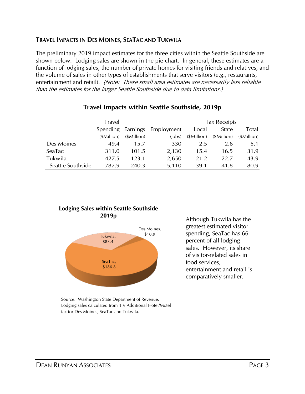#### **TRAVEL IMPACTS IN DES MOINES, SEATAC AND TUKWILA**

The preliminary 2019 impact estimates for the three cities within the Seattle Southside are shown below. Lodging sales are shown in the pie chart. In general, these estimates are a function of lodging sales, the number of private homes for visiting friends and relatives, and the volume of sales in other types of establishments that serve visitors (e.g., restaurants, entertainment and retail). (Note: These small area estimates are necessarily less reliable than the estimates for the larger Seattle Southside due to data limitations.)

|                   | Travel      |             |                              | <b>Tax Receipts</b> |             |             |  |  |
|-------------------|-------------|-------------|------------------------------|---------------------|-------------|-------------|--|--|
|                   |             |             | Spending Earnings Employment | Local               | State       | Total       |  |  |
|                   | (\$Million) | (\$Million) | (iobs)                       | (\$Million)         | (\$Million) | (\$Million) |  |  |
| Des Moines        | 49.4        | 15.7        | 330                          | 2.5                 | 2.6         | 5.1         |  |  |
| SeaTac            | 311.0       | 101.5       | 2,130                        | 15.4                | 16.5        | 31.9        |  |  |
| Tukwila           | 427.5       | 123.1       | 2,650                        | 21.2                | 22.7        | 43.9        |  |  |
| Seattle Southside | 787.9       | 240.3       | 5,110                        | 39.1                | 41.8        | 80.9        |  |  |

#### **Travel Impacts within Seattle Southside, 2019p**

#### **Lodging Sales within Seattle Southside 2019p**



Although Tukwila has the greatest estimated visitor spending, SeaTac has 66 percent of all lodging sales. However, its share of visitor-related sales in food services, entertainment and retail is comparatively smaller.

Source: Washington State Department of Revenue. Lodging sales calculated from 1% Additional Hotel/Motel tax for Des Moines, SeaTac and Tukwila.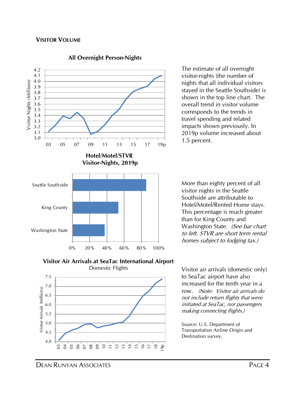

#### **All Overnight Person-Nights**

The estimate of all overnight visitor-nights (the number of nights that all individual visitors stayed in the Seattle Southside) is shown in the top line chart. The overall trend in visitor volume corresponds to the trends in travel spending and related impacts shown previously. In 2019p volume increased about 1.5 percent.

More than eighty percent of all visitor nights in the Seattle Southside are attributable to Hotel/Motel/Rented Home stays. This percentage is much greater than for King County and Washington State. (See bar chart to left. STVR are short term rental homes subject to lodging tax.)





Visitor air arrivals (domestic only) to SeaTac airport have also increased for the tenth year in a row. (Note: Visitor air arrivals do not include return flights that were initiated at SeaTac, nor passengers making connecting flights.)

Source: U.S. Department of Transportation Airline Origin and Destination survey.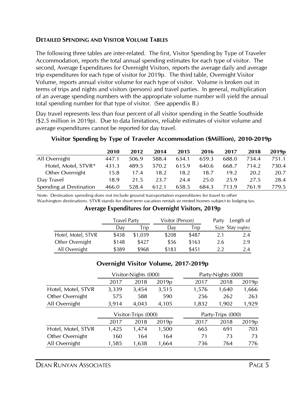#### **DETAILED SPENDING AND VISITOR VOLUME TABLES**

The following three tables are inter-related. The first, Visitor Spending by Type of Traveler Accommodation, reports the total annual spending estimates for each type of visitor. The second, Average Expenditures for Overnight Visitors, reports the average daily and average trip expenditures for each type of visitor for 2019p. The third table, Overnight Visitor Volume, reports annual visitor volume for each type of visitor. Volume is broken out in terms of trips and nights and visitors (persons) and travel parties. In general, multiplication of an average spending numbers with the appropriate volume number will yield the annual total spending number for that type of visitor. (See appendix B.)

Day travel represents less than four percent of all visitor spending in the Seattle Southside (\$2.5 million in 2019p). Due to data limitations, reliable estimates of visitor volume and average expenditures cannot be reported for day travel.

|                         | 2010  | 2012  | 2014  | 2015  | 2016  | 2017  | 2018  | 2019 <sub>p</sub> |
|-------------------------|-------|-------|-------|-------|-------|-------|-------|-------------------|
| All Overnight           | 447.1 | 506.9 | 588.4 | 634.1 | 659.3 | 688.0 | 734.4 | 751.1             |
| Hotel, Motel, STVR*     | 431.3 | 489.5 | 570.2 | 615.9 | 640.6 | 668.7 | 714.2 | 730.4             |
| Other Overnight         | 15.8  | 17.4  | 18.2  | 18.2  | 18.7  | 19.2  | 20.2  | 20.7              |
| Day Travel              | 18.9  | 21.5  | 23.7  | 24.4  | 25.0  | 25.9  | 27.5  | 28.4              |
| Spending at Destination | 466.0 | 528.4 | 612.1 | 658.5 | 684.3 | 713.9 | 761.9 | 779.5             |

#### **Visitor Spending by Type of Traveler Accommodation (\$Million), 2010-2019p**

Note: Destination spending does not include ground transportation expenditures for travel to other Washington destinations. STVR stands for short term vacation rentals or rented homes subject to lodging tax.

#### **Average Expenditures for Overnight Visitors, 2019p**

|                    | <b>Travel Party</b> |         | Visitor (Person) |             | Party | Length of          |
|--------------------|---------------------|---------|------------------|-------------|-------|--------------------|
|                    | Day                 | Trip    | Dav              | <b>Trip</b> |       | Size Stay (nights) |
| Hotel, Motel, STVR | \$438               | \$1,039 | \$208            | \$487       | 2.1   | 2.4                |
| Other Overnight    | \$148               | \$427   | \$56             | \$163       | 2.6   | 2.9                |
| All Overnight      | \$389               | \$968   | \$183            | \$451       | 22    | 2.4                |

#### **Overnight Visitor Volume, 2017-2019p**

|                    | Visitor-Nights (000) |       |                   |                   | Party-Nights (000) |                   |  |  |  |
|--------------------|----------------------|-------|-------------------|-------------------|--------------------|-------------------|--|--|--|
|                    | 2017                 | 2018  | 2019 <sub>p</sub> | 2017              | 2018               | 2019 <sub>p</sub> |  |  |  |
| Hotel, Motel, STVR | 3,339                | 3,454 | 3,515             | 1,576             | 1,640              | 1,666             |  |  |  |
| Other Overnight    | 575                  | 588   | 590               | 256               | 262                | 263               |  |  |  |
| All Overnight      | 3,914                | 4,043 | 4,105             | 1,832             | 1,902              | 1,929             |  |  |  |
|                    | Visitor-Trips (000)  |       |                   | Party-Trips (000) |                    |                   |  |  |  |
|                    | 2017                 | 2018  | 2019 <sub>p</sub> | 2017              | 2018               | 2019 <sub>p</sub> |  |  |  |
| Hotel, Motel, STVR | 1,425                | 1,474 | 1,500             | 665               | 691                | 703               |  |  |  |
|                    |                      |       |                   |                   |                    |                   |  |  |  |
| Other Overnight    | 160                  | 164   | 164               | 71                | 73                 | 73                |  |  |  |